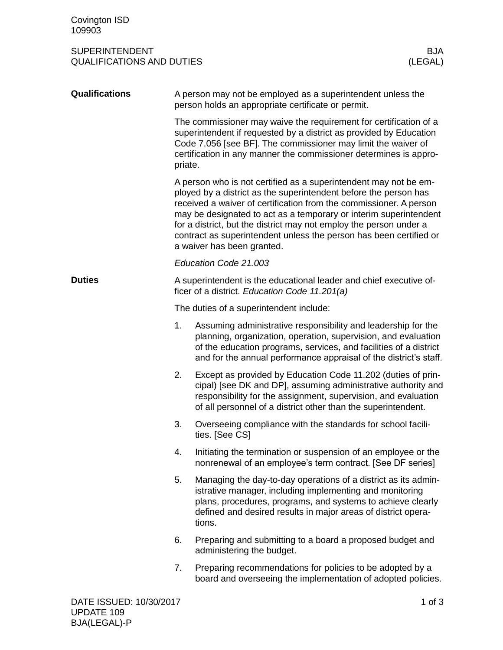## SUPERINTENDENT BJA<br>QUALIFICATIONS AND DUTIES (LEGAL) QUALIFICATIONS AND DUTIES

| Qualifications          | A person may not be employed as a superintendent unless the<br>person holds an appropriate certificate or permit.                                                                                                                                                                                                                                                                                                                                         |                                                                                                                                                                                                                                                                           |  |  |
|-------------------------|-----------------------------------------------------------------------------------------------------------------------------------------------------------------------------------------------------------------------------------------------------------------------------------------------------------------------------------------------------------------------------------------------------------------------------------------------------------|---------------------------------------------------------------------------------------------------------------------------------------------------------------------------------------------------------------------------------------------------------------------------|--|--|
|                         | The commissioner may waive the requirement for certification of a<br>superintendent if requested by a district as provided by Education<br>Code 7.056 [see BF]. The commissioner may limit the waiver of<br>certification in any manner the commissioner determines is appro-<br>priate.                                                                                                                                                                  |                                                                                                                                                                                                                                                                           |  |  |
|                         | A person who is not certified as a superintendent may not be em-<br>ployed by a district as the superintendent before the person has<br>received a waiver of certification from the commissioner. A person<br>may be designated to act as a temporary or interim superintendent<br>for a district, but the district may not employ the person under a<br>contract as superintendent unless the person has been certified or<br>a waiver has been granted. |                                                                                                                                                                                                                                                                           |  |  |
|                         | Education Code 21.003                                                                                                                                                                                                                                                                                                                                                                                                                                     |                                                                                                                                                                                                                                                                           |  |  |
| <b>Duties</b>           | A superintendent is the educational leader and chief executive of-<br>ficer of a district. Education Code 11.201(a)                                                                                                                                                                                                                                                                                                                                       |                                                                                                                                                                                                                                                                           |  |  |
|                         |                                                                                                                                                                                                                                                                                                                                                                                                                                                           | The duties of a superintendent include:                                                                                                                                                                                                                                   |  |  |
|                         | 1.                                                                                                                                                                                                                                                                                                                                                                                                                                                        | Assuming administrative responsibility and leadership for the<br>planning, organization, operation, supervision, and evaluation<br>of the education programs, services, and facilities of a district<br>and for the annual performance appraisal of the district's staff. |  |  |
|                         | 2.                                                                                                                                                                                                                                                                                                                                                                                                                                                        | Except as provided by Education Code 11.202 (duties of prin-<br>cipal) [see DK and DP], assuming administrative authority and<br>responsibility for the assignment, supervision, and evaluation<br>of all personnel of a district other than the superintendent.          |  |  |
|                         | 3.                                                                                                                                                                                                                                                                                                                                                                                                                                                        | Overseeing compliance with the standards for school facili-<br>ties. [See CS]                                                                                                                                                                                             |  |  |
|                         | 4.                                                                                                                                                                                                                                                                                                                                                                                                                                                        | Initiating the termination or suspension of an employee or the<br>nonrenewal of an employee's term contract. [See DF series]                                                                                                                                              |  |  |
|                         | 5.                                                                                                                                                                                                                                                                                                                                                                                                                                                        | Managing the day-to-day operations of a district as its admin-<br>istrative manager, including implementing and monitoring<br>plans, procedures, programs, and systems to achieve clearly<br>defined and desired results in major areas of district opera-<br>tions.      |  |  |
|                         | 6.                                                                                                                                                                                                                                                                                                                                                                                                                                                        | Preparing and submitting to a board a proposed budget and<br>administering the budget.                                                                                                                                                                                    |  |  |
|                         | 7.                                                                                                                                                                                                                                                                                                                                                                                                                                                        | Preparing recommendations for policies to be adopted by a<br>board and overseeing the implementation of adopted policies.                                                                                                                                                 |  |  |
| DATE ISSUED: 10/30/2017 |                                                                                                                                                                                                                                                                                                                                                                                                                                                           | 1 of $3$                                                                                                                                                                                                                                                                  |  |  |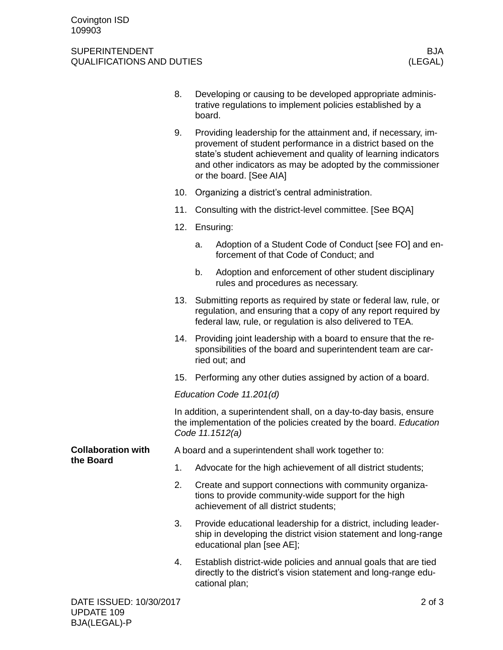## SUPERINTENDENT BJA<br>QUALIFICATIONS AND DUTIES (LEGAL) QUALIFICATIONS AND DUTIES

|                                             | 8.                                                                                                                                                          | Developing or causing to be developed appropriate adminis-<br>trative regulations to implement policies established by a<br>board.                                                                                                                                                       |                                                                                                                                                                                                  |  |  |
|---------------------------------------------|-------------------------------------------------------------------------------------------------------------------------------------------------------------|------------------------------------------------------------------------------------------------------------------------------------------------------------------------------------------------------------------------------------------------------------------------------------------|--------------------------------------------------------------------------------------------------------------------------------------------------------------------------------------------------|--|--|
|                                             | 9.                                                                                                                                                          | Providing leadership for the attainment and, if necessary, im-<br>provement of student performance in a district based on the<br>state's student achievement and quality of learning indicators<br>and other indicators as may be adopted by the commissioner<br>or the board. [See AIA] |                                                                                                                                                                                                  |  |  |
|                                             | 10.                                                                                                                                                         |                                                                                                                                                                                                                                                                                          | Organizing a district's central administration.                                                                                                                                                  |  |  |
|                                             | 11.                                                                                                                                                         |                                                                                                                                                                                                                                                                                          | Consulting with the district-level committee. [See BQA]                                                                                                                                          |  |  |
|                                             | 12.                                                                                                                                                         | Ensuring:                                                                                                                                                                                                                                                                                |                                                                                                                                                                                                  |  |  |
|                                             |                                                                                                                                                             | a.                                                                                                                                                                                                                                                                                       | Adoption of a Student Code of Conduct [see FO] and en-<br>forcement of that Code of Conduct; and                                                                                                 |  |  |
|                                             |                                                                                                                                                             | b.                                                                                                                                                                                                                                                                                       | Adoption and enforcement of other student disciplinary<br>rules and procedures as necessary.                                                                                                     |  |  |
|                                             | 13.                                                                                                                                                         |                                                                                                                                                                                                                                                                                          | Submitting reports as required by state or federal law, rule, or<br>regulation, and ensuring that a copy of any report required by<br>federal law, rule, or regulation is also delivered to TEA. |  |  |
|                                             | 14.                                                                                                                                                         |                                                                                                                                                                                                                                                                                          | Providing joint leadership with a board to ensure that the re-<br>sponsibilities of the board and superintendent team are car-<br>ried out; and                                                  |  |  |
|                                             | 15.                                                                                                                                                         |                                                                                                                                                                                                                                                                                          | Performing any other duties assigned by action of a board.                                                                                                                                       |  |  |
|                                             | Education Code 11.201(d)                                                                                                                                    |                                                                                                                                                                                                                                                                                          |                                                                                                                                                                                                  |  |  |
|                                             | In addition, a superintendent shall, on a day-to-day basis, ensure<br>the implementation of the policies created by the board. Education<br>Code 11.1512(a) |                                                                                                                                                                                                                                                                                          |                                                                                                                                                                                                  |  |  |
| <b>Collaboration with</b><br>the Board      | A board and a superintendent shall work together to:                                                                                                        |                                                                                                                                                                                                                                                                                          |                                                                                                                                                                                                  |  |  |
|                                             | 1.                                                                                                                                                          |                                                                                                                                                                                                                                                                                          | Advocate for the high achievement of all district students;                                                                                                                                      |  |  |
|                                             | 2.                                                                                                                                                          |                                                                                                                                                                                                                                                                                          | Create and support connections with community organiza-<br>tions to provide community-wide support for the high<br>achievement of all district students;                                         |  |  |
|                                             | 3.                                                                                                                                                          |                                                                                                                                                                                                                                                                                          | Provide educational leadership for a district, including leader-<br>ship in developing the district vision statement and long-range<br>educational plan [see AE];                                |  |  |
|                                             | 4.                                                                                                                                                          |                                                                                                                                                                                                                                                                                          | Establish district-wide policies and annual goals that are tied<br>directly to the district's vision statement and long-range edu-<br>cational plan;                                             |  |  |
| DATE ISSUED: 10/30/2017<br>$IIDINATE$ $AOP$ |                                                                                                                                                             |                                                                                                                                                                                                                                                                                          | $2$ of $3$                                                                                                                                                                                       |  |  |